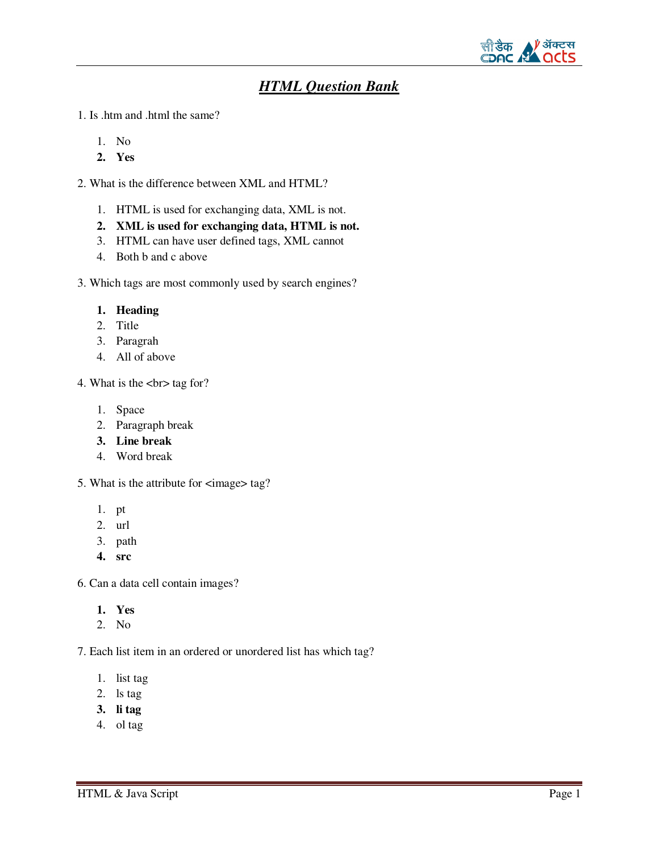

# *HTML Question Bank*

1. Is .htm and .html the same?

- 1. No
- **2. Yes**
- 2. What is the difference between XML and HTML?
	- 1. HTML is used for exchanging data, XML is not.
	- **2. XML is used for exchanging data, HTML is not.**
	- 3. HTML can have user defined tags, XML cannot
	- 4. Both b and c above

3. Which tags are most commonly used by search engines?

### **1. Heading**

- 2. Title
- 3. Paragrah
- 4. All of above

4. What is the  $\text{>}\text{tag for?}$ 

- 1. Space
- 2. Paragraph break
- **3. Line break**
- 4. Word break
- 5. What is the attribute for  $\langle \text{image} \rangle$  tag?
	- 1. pt
	- 2. url
	- 3. path
	- **4. src**
- 6. Can a data cell contain images?
	- **1. Yes**
	- 2. No

7. Each list item in an ordered or unordered list has which tag?

- 1. list tag
- 2. ls tag
- **3. li tag**
- 4. ol tag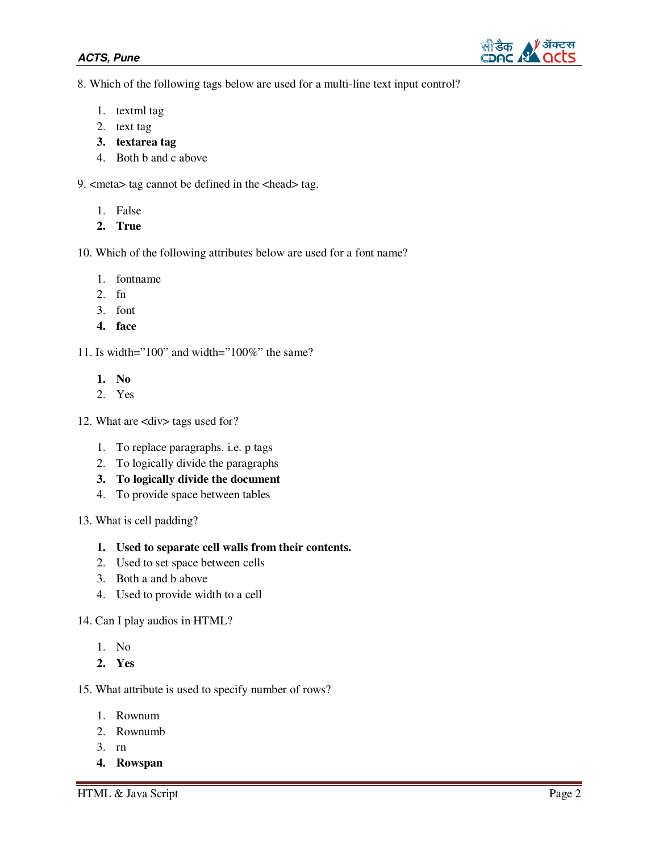

8. Which of the following tags below are used for a multi-line text input control?

- 1. textml tag
- 2. text tag
- **3. textarea tag**
- 4. Both b and c above

9. <meta> tag cannot be defined in the <head> tag.

- 1. False
- **2. True**

10. Which of the following attributes below are used for a font name?

- 1. fontname
- 2. fn
- 3. font
- **4. face**
- 11. Is width="100" and width="100%" the same?
	- **1. No**
	- 2. Yes
- 12. What are <div>tags used for?
	- 1. To replace paragraphs. i.e. p tags
	- 2. To logically divide the paragraphs
	- **3. To logically divide the document**
	- 4. To provide space between tables
- 13. What is cell padding?
	- **1. Used to separate cell walls from their contents.**
	- 2. Used to set space between cells
	- 3. Both a and b above
	- 4. Used to provide width to a cell
- 14. Can I play audios in HTML?
	- 1. No
	- **2. Yes**
- 15. What attribute is used to specify number of rows?
	- 1. Rownum
	- 2. Rownumb
	- 3. rn
	- **4. Rowspan**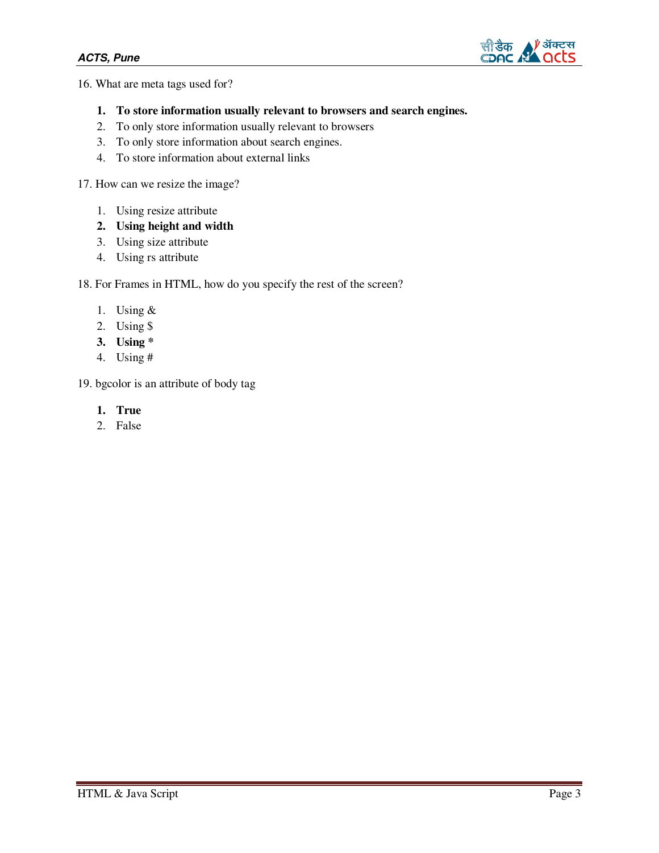

16. What are meta tags used for?

- **1. To store information usually relevant to browsers and search engines.**
- 2. To only store information usually relevant to browsers
- 3. To only store information about search engines.
- 4. To store information about external links

17. How can we resize the image?

- 1. Using resize attribute
- **2. Using height and width**
- 3. Using size attribute
- 4. Using rs attribute

18. For Frames in HTML, how do you specify the rest of the screen?

- 1. Using &
- 2. Using \$
- **3. Using \***
- 4. Using #

19. bgcolor is an attribute of body tag

- **1. True**
- 2. False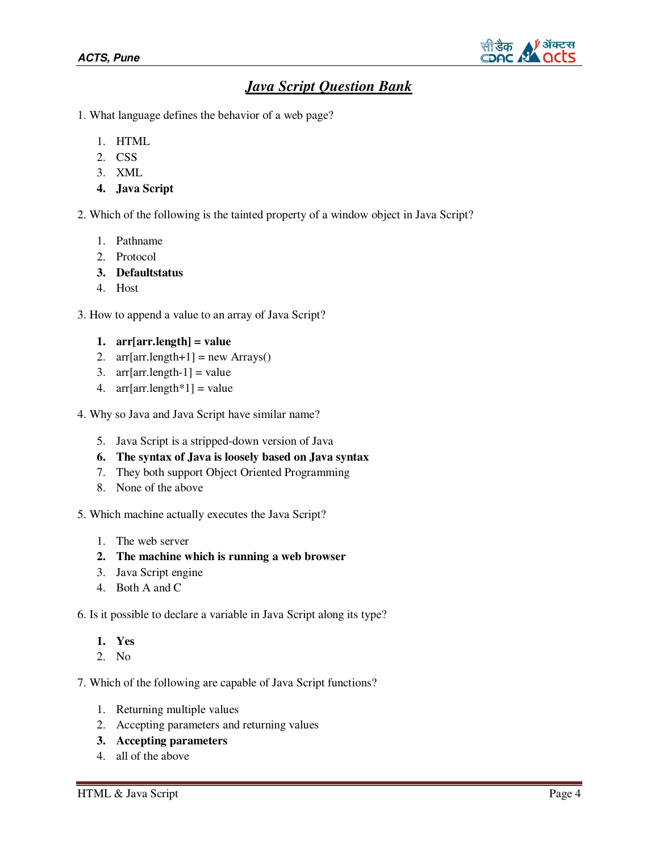

# *Java Script Question Bank*

- 1. What language defines the behavior of a web page?
	- 1. HTML
	- 2. CSS
	- 3. XML
	- **4. Java Script**

2. Which of the following is the tainted property of a window object in Java Script?

- 1. Pathname
- 2. Protocol
- **3. Defaultstatus**
- 4. Host

3. How to append a value to an array of Java Script?

```
1. arr[arr.length] = value
```
- 2.  $\arctan\left(\arctan\frac{1}{2}\right) = \text{new} \, \text{Arrays}()$
- 3.  $arr[arr.length-1] = value$
- 4. arr[ $\arctan\left(\frac{1}{2} + \frac{1}{2}\right) = \text{value}$
- 4. Why so Java and Java Script have similar name?
	- 5. Java Script is a stripped-down version of Java
	- **6. The syntax of Java is loosely based on Java syntax**
	- 7. They both support Object Oriented Programming
	- 8. None of the above

5. Which machine actually executes the Java Script?

- 1. The web server
- **2. The machine which is running a web browser**
- 3. Java Script engine
- 4. Both A and C

6. Is it possible to declare a variable in Java Script along its type?

- **1. Yes**
- 2. No

7. Which of the following are capable of Java Script functions?

- 1. Returning multiple values
- 2. Accepting parameters and returning values
- **3. Accepting parameters**
- 4. all of the above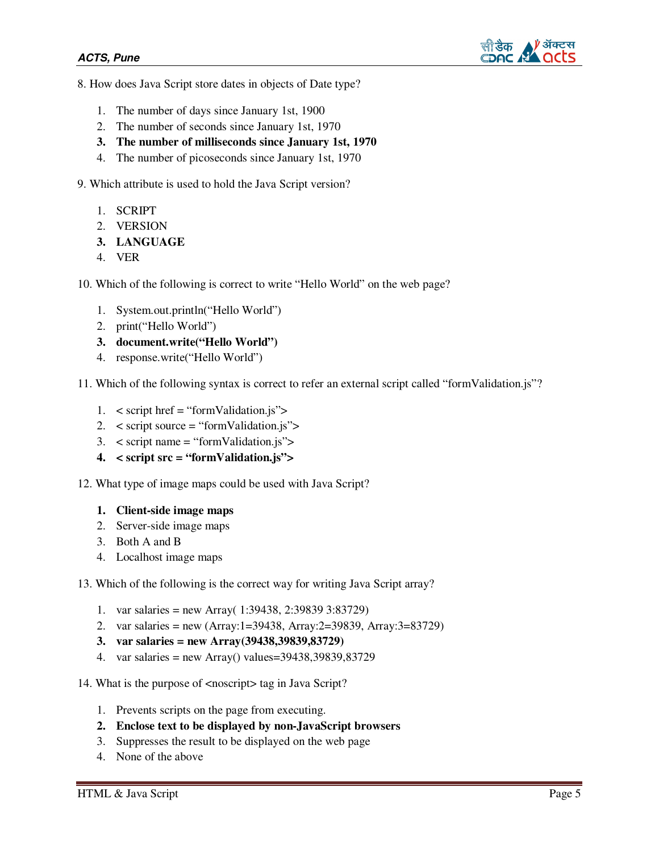

- 8. How does Java Script store dates in objects of Date type?
	- 1. The number of days since January 1st, 1900
	- 2. The number of seconds since January 1st, 1970
	- **3. The number of milliseconds since January 1st, 1970**
	- 4. The number of picoseconds since January 1st, 1970

9. Which attribute is used to hold the Java Script version?

- 1. SCRIPT
- 2. VERSION
- **3. LANGUAGE**
- 4. VER

10. Which of the following is correct to write "Hello World" on the web page?

- 1. System.out.println("Hello World")
- 2. print("Hello World")
- **3. document.write("Hello World")**
- 4. response.write("Hello World")

11. Which of the following syntax is correct to refer an external script called "formValidation.js"?

- 1. < script href = "formValidation.js">
- 2. < script source = "formValidation.js">
- 3. < script name = "formValidation.js">
- **4. < script src = "formValidation.js">**

12. What type of image maps could be used with Java Script?

- **1. Client-side image maps**
- 2. Server-side image maps
- 3. Both A and B
- 4. Localhost image maps
- 13. Which of the following is the correct way for writing Java Script array?
	- 1. var salaries = new Array( 1:39438, 2:39839 3:83729)
	- 2. var salaries = new (Array:1=39438, Array:2=39839, Array:3=83729)
	- **3. var salaries = new Array(39438,39839,83729)**
	- 4. var salaries = new Array() values=39438,39839,83729
- 14. What is the purpose of <noscript> tag in Java Script?
	- 1. Prevents scripts on the page from executing.
	- **2. Enclose text to be displayed by non-JavaScript browsers**
	- 3. Suppresses the result to be displayed on the web page
	- 4. None of the above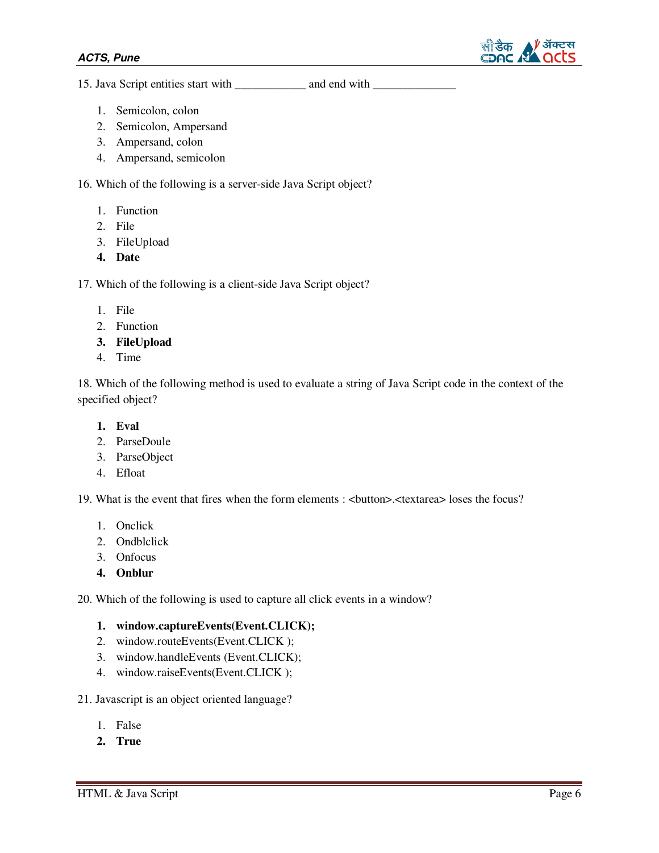

15. Java Script entities start with \_\_\_\_\_\_\_\_\_\_\_\_\_ and end with \_\_\_\_\_\_\_\_\_\_\_\_\_\_\_\_\_

- 1. Semicolon, colon
- 2. Semicolon, Ampersand
- 3. Ampersand, colon
- 4. Ampersand, semicolon

16. Which of the following is a server-side Java Script object?

- 1. Function
- 2. File
- 3. FileUpload
- **4. Date**

17. Which of the following is a client-side Java Script object?

- 1. File
- 2. Function
- **3. FileUpload**
- 4. Time

18. Which of the following method is used to evaluate a string of Java Script code in the context of the specified object?

- **1. Eval**
- 2. ParseDoule
- 3. ParseObject
- 4. Efloat

19. What is the event that fires when the form elements : <button>.<textarea> loses the focus?

- 1. Onclick
- 2. Ondblclick
- 3. Onfocus
- **4. Onblur**

20. Which of the following is used to capture all click events in a window?

### **1. window.captureEvents(Event.CLICK);**

- 2. window.routeEvents(Event.CLICK );
- 3. window.handleEvents (Event.CLICK);
- 4. window.raiseEvents(Event.CLICK );

21. Javascript is an object oriented language?

- 1. False
- **2. True**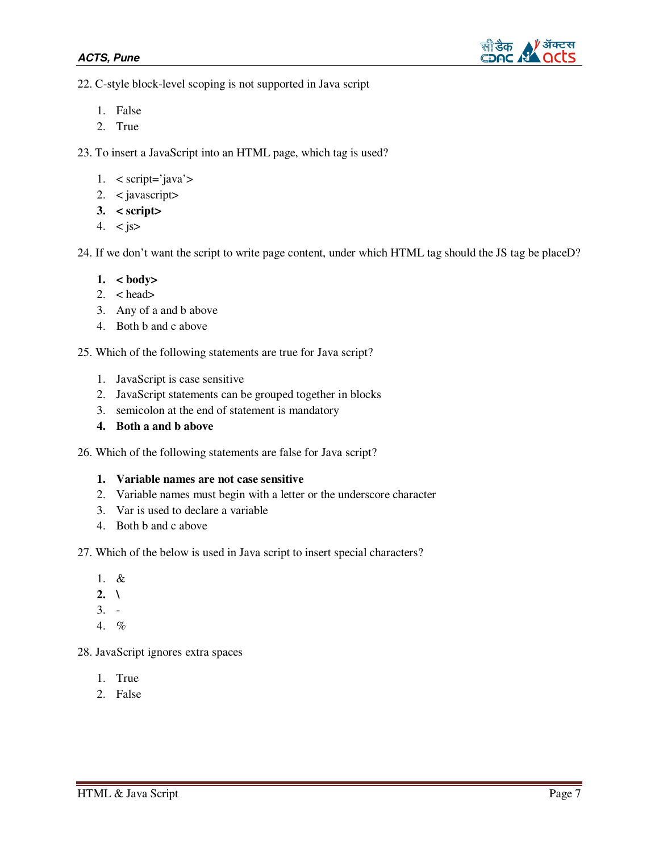

22. C-style block-level scoping is not supported in Java script

- 1. False
- 2. True

23. To insert a JavaScript into an HTML page, which tag is used?

- 1. < script='java'>
- 2. < javascript>
- **3. < script>**
- 4.  $\lt$  js>

24. If we don't want the script to write page content, under which HTML tag should the JS tag be placeD?

- **1. < body>**
- 2. < head>
- 3. Any of a and b above
- 4. Both b and c above

25. Which of the following statements are true for Java script?

- 1. JavaScript is case sensitive
- 2. JavaScript statements can be grouped together in blocks
- 3. semicolon at the end of statement is mandatory
- **4. Both a and b above**

26. Which of the following statements are false for Java script?

#### **1. Variable names are not case sensitive**

- 2. Variable names must begin with a letter or the underscore character
- 3. Var is used to declare a variable
- 4. Both b and c above

27. Which of the below is used in Java script to insert special characters?

- 1. &
- **2.**  $\sqrt{}$
- 3. -
- 4. %

28. JavaScript ignores extra spaces

- 1. True
- 2. False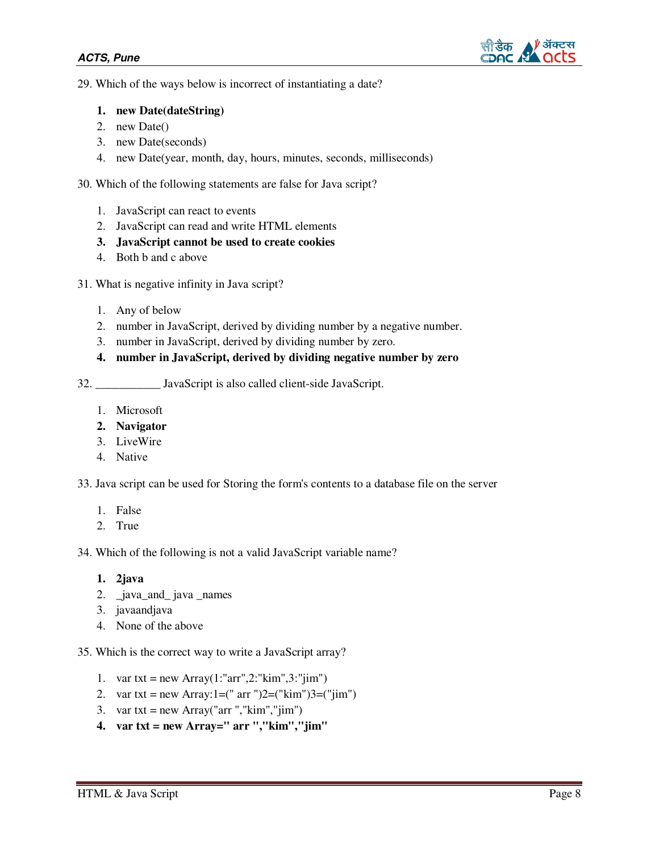

29. Which of the ways below is incorrect of instantiating a date?

#### **1. new Date(dateString)**

- 2. new Date()
- 3. new Date(seconds)
- 4. new Date(year, month, day, hours, minutes, seconds, milliseconds)

30. Which of the following statements are false for Java script?

- 1. JavaScript can react to events
- 2. JavaScript can read and write HTML elements
- **3. JavaScript cannot be used to create cookies**
- 4. Both b and c above
- 31. What is negative infinity in Java script?
	- 1. Any of below
	- 2. number in JavaScript, derived by dividing number by a negative number.
	- 3. number in JavaScript, derived by dividing number by zero.

## **4. number in JavaScript, derived by dividing negative number by zero**

32. \_\_\_\_\_\_\_\_\_\_\_ JavaScript is also called client-side JavaScript.

- 1. Microsoft
- **2. Navigator**
- 3. LiveWire
- 4. Native

33. Java script can be used for Storing the form's contents to a database file on the server

- 1. False
- 2. True

34. Which of the following is not a valid JavaScript variable name?

```
1. 2java
```
- 2. \_java\_and\_ java \_names
- 3. javaandjava
- 4. None of the above

35. Which is the correct way to write a JavaScript array?

- 1. var txt = new Array $(1: "arr", 2: "kim", 3: "jim")$
- 2. var txt = new Array: $1=($ " arr " $)2=($ " $\lim$ " $)3=($ " $\lim$ " $)$
- 3. var txt = new Array("arr "," $\text{kim}$ "," $\text{jim}$ ")
- **4. var txt = new Array=" arr ","kim","jim"**